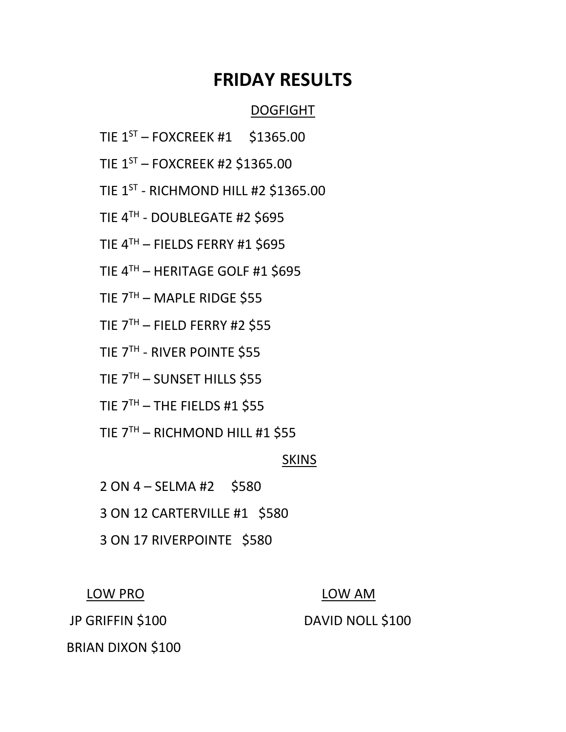# **FRIDAY RESULTS**

## DOGFIGHT

- TIE  $1^{ST}$  FOXCREEK #1 \$1365.00
- TIE 1ST FOXCREEK #2 \$1365.00
- TIE  $1^\mathrm{ST}$  RICHMOND HILL #2 \$1365.00
- TIE 4<sup>TH</sup> DOUBLEGATE #2 \$695
- TIE 4TH FIELDS FERRY #1 \$695
- TIE 4TH HERITAGE GOLF #1 \$695
- TIE 7TH MAPLE RIDGE \$55
- TIE  $7<sup>TH</sup>$  FIELD FERRY #2 \$55
- TIE 7TH RIVER POINTE \$55
	- TIE 7TH SUNSET HILLS \$55
	- TIE  $7<sup>TH</sup> THE FIELDS #1$  \$55
	- TIE 7TH RICHMOND HILL #1 \$55

## SKINS

- 2 ON 4 SELMA #2 \$580
- 3 ON 12 CARTERVILLE #1 \$580
- 3 ON 17 RIVERPOINTE \$580

## LOW PRO LOW AM

## JP GRIFFIN \$100 DAVID NOLL \$100

BRIAN DIXON \$100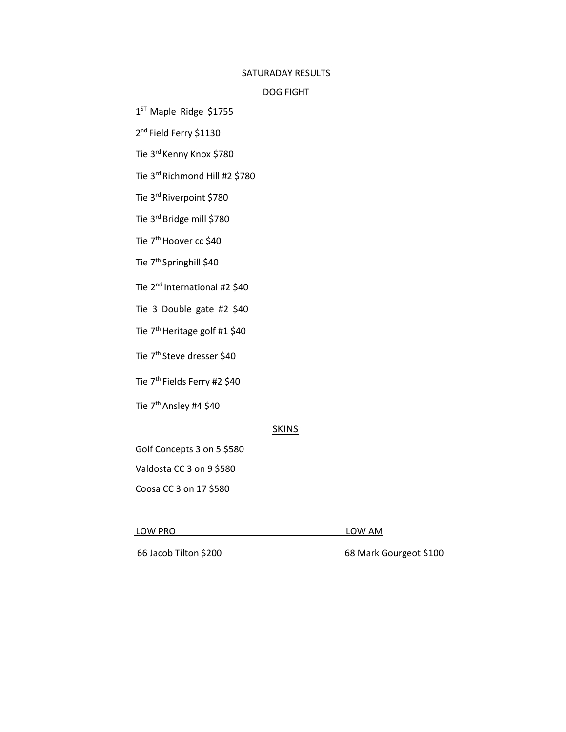#### SATURADAY RESULTS

#### DOG FIGHT

1 ST Maple Ridge \$1755

2<sup>nd</sup> Field Ferry \$1130

Tie 3rd Kenny Knox \$780

Tie 3rd Richmond Hill #2 \$780

Tie 3rd Riverpoint \$780

Tie 3rd Bridge mill \$780

Tie 7<sup>th</sup> Hoover cc \$40

Tie 7<sup>th</sup> Springhill \$40

Tie 2<sup>nd</sup> International #2 \$40

Tie 3 Double gate #2 \$40

Tie 7<sup>th</sup> Heritage golf #1 \$40

Tie 7<sup>th</sup> Steve dresser \$40

Tie 7<sup>th</sup> Fields Ferry #2 \$40

Tie 7<sup>th</sup> Ansley #4 \$40

### **SKINS**

Golf Concepts 3 on 5 \$580

Valdosta CC 3 on 9 \$580

Coosa CC 3 on 17 \$580

#### LOW PRO LOW AM

66 Jacob Tilton \$200 68 Mark Gourgeot \$100